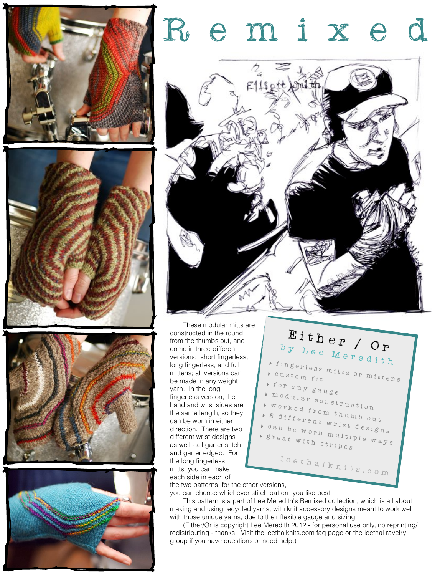







# e m 1 x



These modular mitts are constructed in the round from the thumbs out, and come in three different versions: short fingerless, long fingerless, and full mittens; all versions can be made in any weight yarn. In the long fingerless version, the hand and wrist sides are the same length, so they can be worn in either direction. There are two different wrist designs as well - all garter stitch and garter edged. For the long fingerless mitts, you can make each side in each of

Either / Or by Lee Meredith **‣** fingerless mitts or mittens **‣** custom fit for any gauge **‣** modular construction **‣** worked from thumb out **‣** 2 different wrist designs **‣** can be worn multiple ways **‣** great with stripes leethalknits.com

the two patterns; for the other versions,

you can choose whichever stitch pattern you like best. This pattern is a part of Lee Meredith's Remixed collection, which is all about

making and using recycled yarns, with knit accessory designs meant to work well with those unique yarns, due to their flexible gauge and sizing.

(Either/Or is copyright Lee Meredith 2012 - for personal use only, no reprinting/ redistributing - thanks! Visit the leethalknits.com [faq page](http://www.leethalknits.com/faq.html) or the leethal [ravelry](http://www.ravelry.com/groups/leethal-knitters)  [group](http://www.ravelry.com/groups/leethal-knitters) if you have questions or need help.)